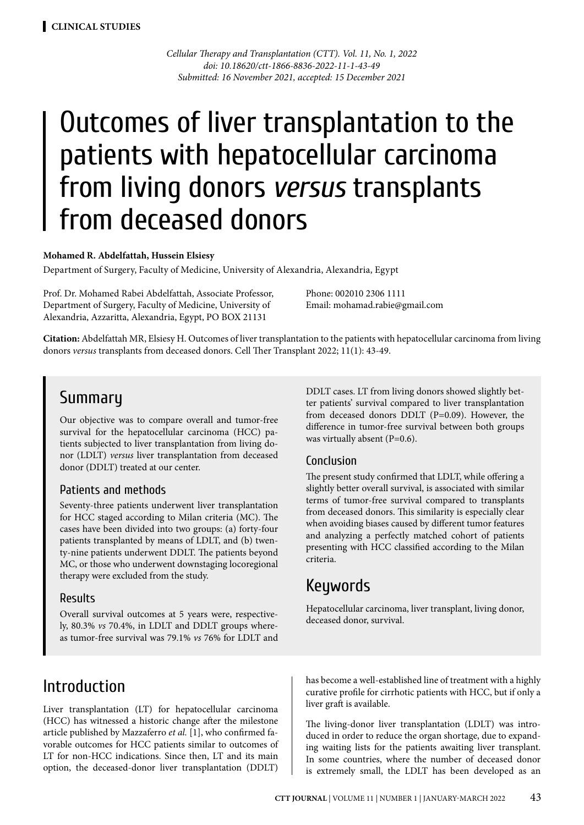*Cellular Therapy and Transplantation (CTT). Vol. 11, No. 1, 2022 doi: 10.18620/ctt-1866-8836-2022-11-1-43-49 Submitted: 16 November 2021, accepted: 15 December 2021*

# Outcomes of liver transplantation to the patients with hepatocellular carcinoma from living donors *versus* transplants from deceased donors

#### **Mohamed R. Abdelfattah, Hussein Elsiesy**

Department of Surgery, Faculty of Medicine, University of Alexandria, Alexandria, Egypt

Prof. Dr. Mohamed Rabei Abdelfattah, Associate Professor, Department of Surgery, Faculty of Medicine, University of Alexandria, Azzaritta, Alexandria, Egypt, PO BOX 21131

Phone: 002010 2306 1111 Email: mohamad.rabie@gmail.com

**Citation:** Abdelfattah MR, Elsiesy H. Outcomes of liver transplantation to the patients with hepatocellular carcinoma from living donors *versus* transplants from deceased donors. Cell Ther Transplant 2022; 11(1): 43-49.

### Summary

Our objective was to compare overall and tumor-free survival for the hepatocellular carcinoma (HCC) patients subjected to liver transplantation from living donor (LDLT) *versus* liver transplantation from deceased donor (DDLT) treated at our center.

### Patients and methods

Seventy-three patients underwent liver transplantation for HCC staged according to Milan criteria (MC). The cases have been divided into two groups: (a) forty-four patients transplanted by means of LDLT, and (b) twenty-nine patients underwent DDLT. The patients beyond MC, or those who underwent downstaging locoregional therapy were excluded from the study.

#### Results

Overall survival outcomes at 5 years were, respectively, 80.3% *vs* 70.4%, in LDLT and DDLT groups whereas tumor-free survival was 79.1% *vs* 76% for LDLT and DDLT cases. LT from living donors showed slightly better patients' survival compared to liver transplantation from deceased donors DDLT (P=0.09). However, the difference in tumor-free survival between both groups was virtually absent (P=0.6).

### Conclusion

The present study confirmed that LDLT, while offering a slightly better overall survival, is associated with similar terms of tumor-free survival compared to transplants from deceased donors. This similarity is especially clear when avoiding biases caused by different tumor features and analyzing a perfectly matched cohort of patients presenting with HCC classified according to the Milan criteria.

### Keywords

Hepatocellular carcinoma, liver transplant, living donor, deceased donor, survival.

### Introduction

Liver transplantation (LT) for hepatocellular carcinoma (HCC) has witnessed a historic change after the milestone article published by Mazzaferro *et al.* [1], who confirmed favorable outcomes for HCC patients similar to outcomes of LT for non-HCC indications. Since then, LT and its main option, the deceased-donor liver transplantation (DDLT) has become a well-established line of treatment with a highly curative profile for cirrhotic patients with HCC, but if only a liver graft is available.

The living-donor liver transplantation (LDLT) was introduced in order to reduce the organ shortage, due to expanding waiting lists for the patients awaiting liver transplant. In some countries, where the number of deceased donor is extremely small, the LDLT has been developed as an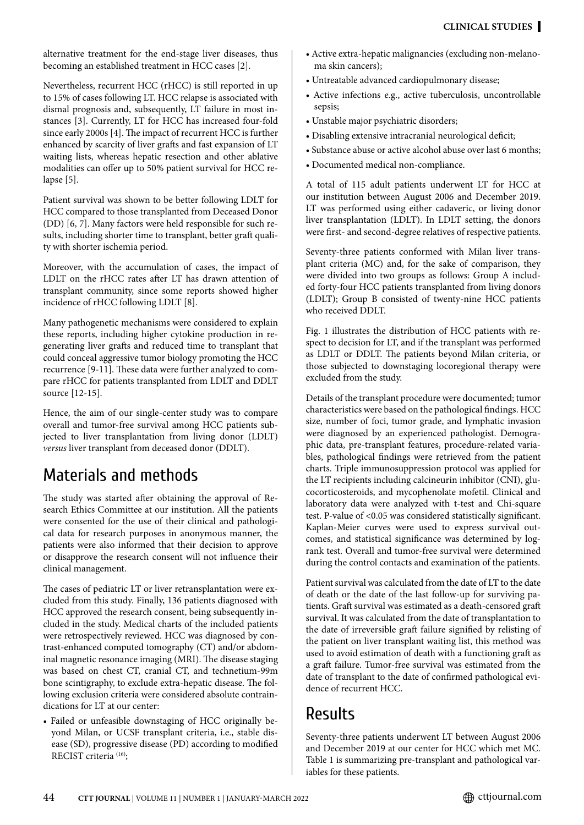alternative treatment for the end-stage liver diseases, thus becoming an established treatment in HCC cases [2].

Nevertheless, recurrent HCC (rHCC) is still reported in up to 15% of cases following LT. HCC relapse is associated with dismal prognosis and, subsequently, LT failure in most instances [3]. Currently, LT for HCC has increased four-fold since early 2000s [4]. The impact of recurrent HCC is further enhanced by scarcity of liver grafts and fast expansion of LT waiting lists, whereas hepatic resection and other ablative modalities can offer up to 50% patient survival for HCC relapse [5].

Patient survival was shown to be better following LDLT for HCC compared to those transplanted from Deceased Donor (DD) [6, 7]. Many factors were held responsible for such results, including shorter time to transplant, better graft quality with shorter ischemia period.

Moreover, with the accumulation of cases, the impact of LDLT on the rHCC rates after LT has drawn attention of transplant community, since some reports showed higher incidence of rHCC following LDLT [8].

Many pathogenetic mechanisms were considered to explain these reports, including higher cytokine production in regenerating liver grafts and reduced time to transplant that could conceal aggressive tumor biology promoting the HCC recurrence [9-11]. These data were further analyzed to compare rHCC for patients transplanted from LDLT and DDLT source [12-15].

Hence, the aim of our single-center study was to compare overall and tumor-free survival among HCC patients subjected to liver transplantation from living donor (LDLT) *versus* liver transplant from deceased donor (DDLT).

## Materials and methods

The study was started after obtaining the approval of Research Ethics Committee at our institution. All the patients were consented for the use of their clinical and pathological data for research purposes in anonymous manner, the patients were also informed that their decision to approve or disapprove the research consent will not influence their clinical management.

The cases of pediatric LT or liver retransplantation were excluded from this study. Finally, 136 patients diagnosed with HCC approved the research consent, being subsequently included in the study. Medical charts of the included patients were retrospectively reviewed. HCC was diagnosed by contrast-enhanced computed tomography (CT) and/or abdominal magnetic resonance imaging (MRI). The disease staging was based on chest CT, cranial CT, and technetium-99m bone scintigraphy, to exclude extra-hepatic disease. The following exclusion criteria were considered absolute contraindications for LT at our center:

• Failed or unfeasible downstaging of HCC originally beyond Milan, or UCSF transplant criteria, i.e., stable disease (SD), progressive disease (PD) according to modified RECIST criteria (16);

- Active extra-hepatic malignancies (excluding non-melanoma skin cancers);
- Untreatable advanced cardiopulmonary disease;
- Active infections e.g., active tuberculosis, uncontrollable sepsis;
- Unstable major psychiatric disorders;
- Disabling extensive intracranial neurological deficit;
- Substance abuse or active alcohol abuse over last 6 months;
- Documented medical non-compliance.

A total of 115 adult patients underwent LT for HCC at our institution between August 2006 and December 2019. LT was performed using either cadaveric, or living donor liver transplantation (LDLT). In LDLT setting, the donors were first- and second-degree relatives of respective patients.

Seventy-three patients conformed with Milan liver transplant criteria (MC) and, for the sake of comparison, they were divided into two groups as follows: Group A included forty-four HCC patients transplanted from living donors (LDLT); Group B consisted of twenty-nine HCC patients who received DDLT.

Fig. 1 illustrates the distribution of HCC patients with respect to decision for LT, and if the transplant was performed as LDLT or DDLT. The patients beyond Milan criteria, or those subjected to downstaging locoregional therapy were excluded from the study.

Details of the transplant procedure were documented; tumor characteristics were based on the pathological findings. HCC size, number of foci, tumor grade, and lymphatic invasion were diagnosed by an experienced pathologist. Demographic data, pre-transplant features, procedure-related variables, pathological findings were retrieved from the patient charts. Triple immunosuppression protocol was applied for the LT recipients including calcineurin inhibitor (CNI), glucocorticosteroids, and mycophenolate mofetil. Clinical and laboratory data were analyzed with t-test and Chi-square test. P-value of <0.05 was considered statistically significant. Kaplan-Meier curves were used to express survival outcomes, and statistical significance was determined by logrank test. Overall and tumor-free survival were determined during the control contacts and examination of the patients.

Patient survival was calculated from the date of LT to the date of death or the date of the last follow-up for surviving patients. Graft survival was estimated as a death-censored graft survival. It was calculated from the date of transplantation to the date of irreversible graft failure signified by relisting of the patient on liver transplant waiting list, this method was used to avoid estimation of death with a functioning graft as a graft failure. Tumor-free survival was estimated from the date of transplant to the date of confirmed pathological evidence of recurrent HCC.

## Results

Seventy-three patients underwent LT between August 2006 and December 2019 at our center for HCC which met MC. Table 1 is summarizing pre-transplant and pathological variables for these patients.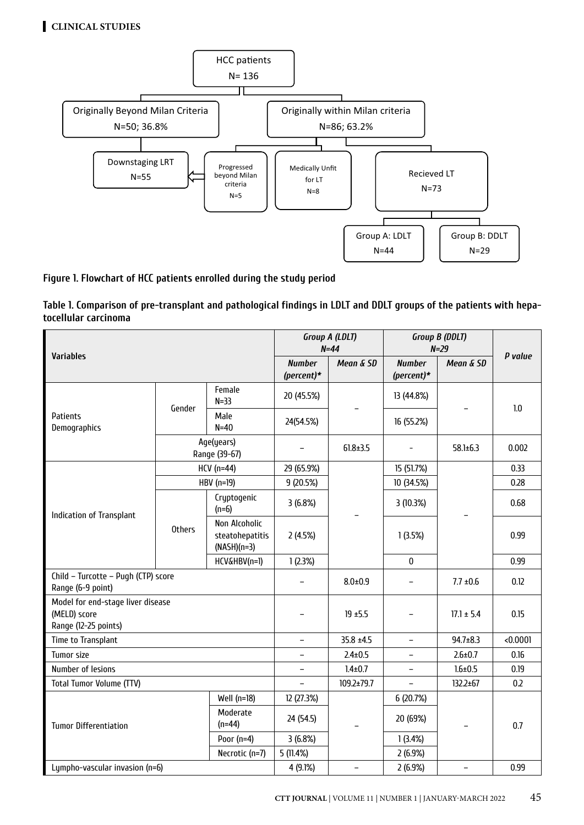

### **Figure 1. Flowchart of HCC patients enrolled during the study period**

**Table 1. Comparison of pre-transplant and pathological findings in LDLT and DDLT groups of the patients with hepatocellular carcinoma**

| <b>Variables</b>                                                                    |                             |                                                   | Group A (LDLT)<br>$N = 44$  |                | Group B (DDLT)<br>$N=29$    |                          | P value  |
|-------------------------------------------------------------------------------------|-----------------------------|---------------------------------------------------|-----------------------------|----------------|-----------------------------|--------------------------|----------|
|                                                                                     |                             |                                                   | <b>Number</b><br>(percent)* | Mean & SD      | <b>Number</b><br>(percent)* | Mean & SD                |          |
| <b>Patients</b><br>Demographics                                                     | Gender                      | Female<br>$N=33$                                  | 20 (45.5%)                  |                | 13 (44.8%)                  |                          | 1.0      |
|                                                                                     |                             | Male<br>$N=40$                                    | 24(54.5%)                   |                | 16 (55.2%)                  |                          |          |
|                                                                                     | Age(years)<br>Range (39-67) |                                                   |                             | $61.8 \pm 3.5$ |                             | $58.1 \pm 6.3$           | 0.002    |
| Indication of Transplant                                                            | $HCV$ (n=44)                |                                                   | 29 (65.9%)                  |                | 15 (51.7%)                  |                          | 0.33     |
|                                                                                     | HBV (n=19)                  |                                                   | 9 (20.5%)                   |                | 10 (34.5%)                  |                          | 0.28     |
|                                                                                     | <b>Others</b>               | Cryptogenic<br>$(n=6)$                            | 3(6.8%)                     |                | 3 (10.3%)                   |                          | 0.68     |
|                                                                                     |                             | Non Alcoholic<br>steatohepatitis<br>$(NASH)(n=3)$ | 2(4.5%)                     |                | 1(3.5%)                     |                          | 0.99     |
|                                                                                     |                             | HCV&HBV(n=1)                                      | 1(2.3%)                     |                | $\pmb{0}$                   |                          | 0.99     |
| Child - Turcotte - Pugh (CTP) score<br>Range (6-9 point)                            |                             |                                                   | $\overline{\phantom{0}}$    | $8.0 + 0.9$    | $\qquad \qquad -$           | $7.7 \pm 0.6$            | 0.12     |
| Model for end-stage liver disease<br>(MELD) score<br>Range (12-25 points)           |                             |                                                   |                             | $19 + 5.5$     | ÷                           | $17.1 \pm 5.4$           | 0.15     |
| Time to Transplant                                                                  |                             |                                                   | $\qquad \qquad -$           | $35.8 \pm 4.5$ | $\overline{\phantom{0}}$    | $94.7 \pm 8.3$           | < 0.0001 |
| <b>Tumor size</b>                                                                   |                             |                                                   | $\qquad \qquad -$           | $2.4 \pm 0.5$  | $\overline{\phantom{0}}$    | $2.6 \pm 0.7$            | 0.16     |
| Number of lesions                                                                   |                             |                                                   |                             | $1.4 \pm 0.7$  | $\overline{a}$              | $1.6 \pm 0.5$            | 0.19     |
| <b>Total Tumor Volume (TTV)</b>                                                     |                             |                                                   | ÷.                          | 109.2±79.7     | $\overline{\phantom{0}}$    | 132.2±67                 | 0.2      |
| Well (n=18)<br>Moderate<br>$(n=44)$<br><b>Tumor Differentiation</b><br>Poor $(n=4)$ |                             |                                                   | 12 (27.3%)                  |                | 6 (20.7%)                   |                          |          |
|                                                                                     |                             |                                                   | 24 (54.5)                   |                | 20 (69%)                    |                          | 0.7      |
|                                                                                     |                             |                                                   | 3(6.8%)                     |                | 1(3.4%)                     |                          |          |
|                                                                                     |                             | Necrotic (n=7)                                    | 5 (11.4%)                   |                | 2(6.9%)                     |                          |          |
| Lympho-vascular invasion (n=6)                                                      |                             |                                                   | 4 (9.1%)                    | $\equiv$       | 2(6.9%)                     | $\overline{\phantom{0}}$ | 0.99     |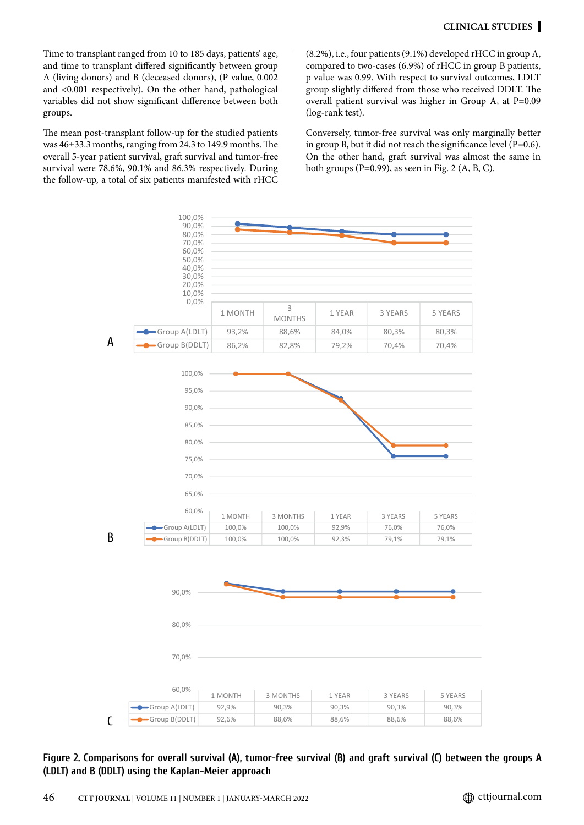Time to transplant ranged from 10 to 185 days, patients' age, and time to transplant differed significantly between group A (living donors) and B (deceased donors), (P value, 0.002 and <0.001 respectively). On the other hand, pathological variables did not show significant difference between both groups.

The mean post-transplant follow-up for the studied patients was 46±33.3 months, ranging from 24.3 to 149.9 months. The overall 5-year patient survival, graft survival and tumor-free survival were 78.6%, 90.1% and 86.3% respectively. During the follow-up, a total of six patients manifested with rHCC (8.2%), i.e., four patients (9.1%) developed rHCC in group A, compared to two-cases (6.9%) of rHCC in group B patients, p value was 0.99. With respect to survival outcomes, LDLT group slightly differed from those who received DDLT. The overall patient survival was higher in Group A, at P=0.09 (log-rank test).

Conversely, tumor-free survival was only marginally better in group B, but it did not reach the significance level (P=0.6). On the other hand, graft survival was almost the same in both groups (P=0.99), as seen in Fig. 2  $(A, B, C)$ .



**Figure 2. Comparisons for overall survival (A), tumor-free survival (B) and graft survival (C) between the groups A**  70,0% **(LDLT) and B (DDLT) using the Kaplan-Meier approach**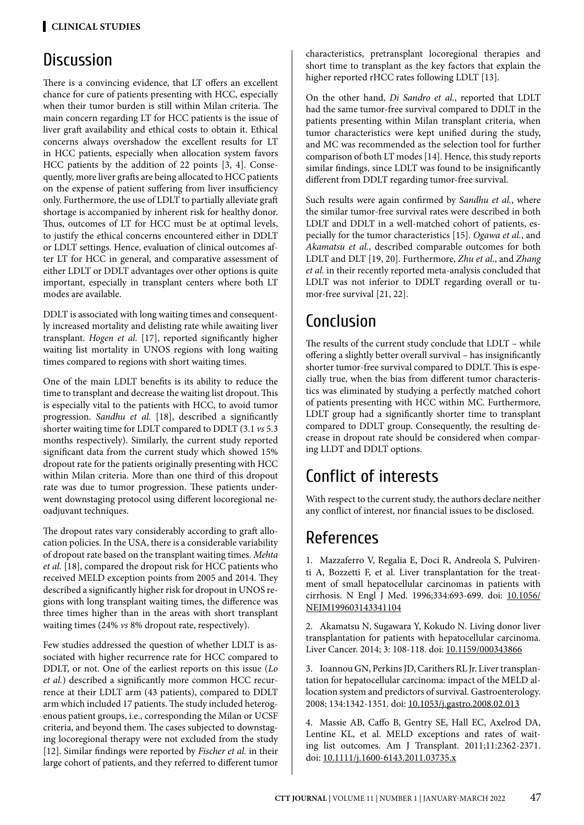## **Discussion**

There is a convincing evidence, that LT offers an excellent chance for cure of patients presenting with HCC, especially when their tumor burden is still within Milan criteria. The main concern regarding LT for HCC patients is the issue of liver graft availability and ethical costs to obtain it. Ethical concerns always overshadow the excellent results for LT in HCC patients, especially when allocation system favors HCC patients by the addition of 22 points [3, 4]. Consequently, more liver grafts are being allocated to HCC patients on the expense of patient suffering from liver insufficiency only. Furthermore, the use of LDLT to partially alleviate graft shortage is accompanied by inherent risk for healthy donor. Thus, outcomes of LT for HCC must be at optimal levels, to justify the ethical concerns encountered either in DDLT or LDLT settings. Hence, evaluation of clinical outcomes after LT for HCC in general, and comparative assessment of either LDLT or DDLT advantages over other options is quite important, especially in transplant centers where both LT modes are available.

DDLT is associated with long waiting times and consequently increased mortality and delisting rate while awaiting liver transplant. *Hogen et al.* [17], reported significantly higher waiting list mortality in UNOS regions with long waiting times compared to regions with short waiting times.

One of the main LDLT benefits is its ability to reduce the time to transplant and decrease the waiting list dropout. This is especially vital to the patients with HCC, to avoid tumor progression. *Sandhu et al.* [18], described a significantly shorter waiting time for LDLT compared to DDLT (3.1 *vs* 5.3 months respectively). Similarly, the current study reported significant data from the current study which showed 15% dropout rate for the patients originally presenting with HCC within Milan criteria. More than one third of this dropout rate was due to tumor progression. These patients underwent downstaging protocol using different locoregional neoadjuvant techniques.

The dropout rates vary considerably according to graft allocation policies. In the USA, there is a considerable variability of dropout rate based on the transplant waiting times. *Mehta et al.* [18], compared the dropout risk for HCC patients who received MELD exception points from 2005 and 2014. They described a significantly higher risk for dropout in UNOS regions with long transplant waiting times, the difference was three times higher than in the areas with short transplant waiting times (24% *vs* 8% dropout rate, respectively).

Few studies addressed the question of whether LDLT is associated with higher recurrence rate for HCC compared to DDLT, or not. One of the earliest reports on this issue (*Lo et al.*) described a significantly more common HCC recurrence at their LDLT arm (43 patients), compared to DDLT arm which included 17 patients. The study included heterogenous patient groups, i.e., corresponding the Milan or UCSF criteria, and beyond them. The cases subjected to downstaging locoregional therapy were not excluded from the study [12]. Similar findings were reported by *Fischer et al.* in their large cohort of patients, and they referred to different tumor

characteristics, pretransplant locoregional therapies and short time to transplant as the key factors that explain the higher reported rHCC rates following LDLT [13].

On the other hand, *Di Sandro et al.*, reported that LDLT had the same tumor-free survival compared to DDLT in the patients presenting within Milan transplant criteria, when tumor characteristics were kept unified during the study, and MC was recommended as the selection tool for further comparison of both LT modes [14]. Hence, this study reports similar findings, since LDLT was found to be insignificantly different from DDLT regarding tumor-free survival.

Such results were again confirmed by *Sandhu et al.*, where the similar tumor-free survival rates were described in both LDLT and DDLT in a well-matched cohort of patients, especially for the tumor characteristics [15]. *Ogawa et al.*, and *Akamatsu et al.*, described comparable outcomes for both LDLT and DLT [19, 20]. Furthermore, *Zhu et al*., and *Zhang et al.* in their recently reported meta-analysis concluded that LDLT was not inferior to DDLT regarding overall or tumor-free survival [21, 22].

# Conclusion

The results of the current study conclude that LDLT – while offering a slightly better overall survival – has insignificantly shorter tumor-free survival compared to DDLT. This is especially true, when the bias from different tumor characteristics was eliminated by studying a perfectly matched cohort of patients presenting with HCC within MC. Furthermore, LDLT group had a significantly shorter time to transplant compared to DDLT group. Consequently, the resulting decrease in dropout rate should be considered when comparing LLDT and DDLT options.

# Conflict of interests

With respect to the current study, the authors declare neither any conflict of interest, nor financial issues to be disclosed.

# References

1. Mazzaferro V, Regalia E, Doci R, Andreola S, Pulvirenti A, Bozzetti F, et al. Liver transplantation for the treatment of small hepatocellular carcinomas in patients with cirrhosis. N Engl J Med. 1996;334:693-699. doi: [10.1056/](http://doi.org/10.1056/NEJM199603143341104) [NEJM199603143341104](http://doi.org/10.1056/NEJM199603143341104)

2. Akamatsu N, Sugawara Y, Kokudo N. Living donor liver transplantation for patients with hepatocellular carcinoma. Liver Cancer. 2014; 3: 108-118. doi: [10.1159/000343866](http://doi.org/10.1159/000343866)

3. Ioannou GN, Perkins JD, Carithers RL Jr. Liver transplantation for hepatocellular carcinoma: impact of the MELD allocation system and predictors of survival. Gastroenterology. 2008; 134:1342-1351. doi: [10.1053/j.gastro.2008.02.013](http://doi.org/10.1053/j.gastro.2008.02.013)

4. Massie AB, Caffo B, Gentry SE, Hall EC, Axelrod DA, Lentine KL, et al. MELD exceptions and rates of waiting list outcomes. Am J Transplant. 2011;11:2362-2371. doi: [10.1111/j.1600-6143.2011.03735.x](http://doi.org/10.1111/j.1600-6143.2011.03735.x)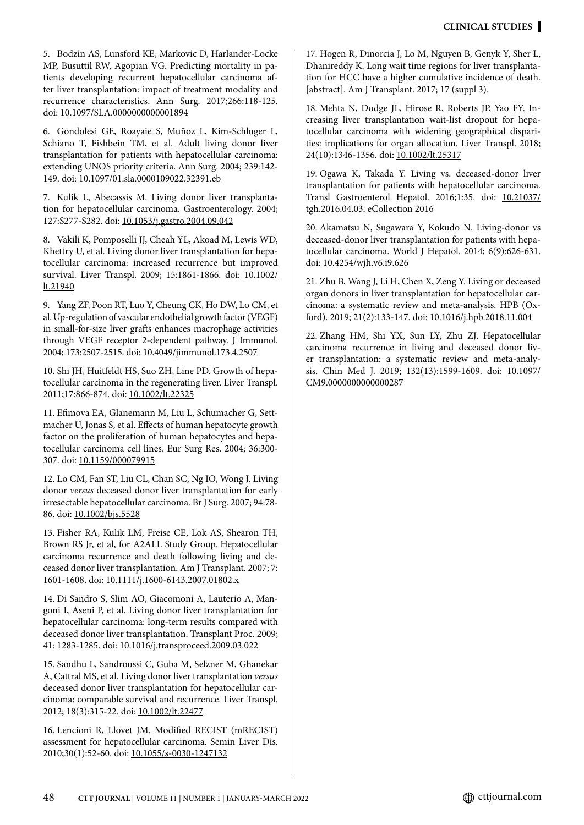5. Bodzin AS, Lunsford KE, Markovic D, Harlander-Locke MP, Busuttil RW, Agopian VG. Predicting mortality in patients developing recurrent hepatocellular carcinoma after liver transplantation: impact of treatment modality and recurrence characteristics. Ann Surg. 2017;266:118-125. doi: [10.1097/SLA.0000000000001894](http://doi.org/10.1097/SLA.0000000000001894)

6. Gondolesi GE, Roayaie S, Muñoz L, Kim-Schluger L, Schiano T, Fishbein TM, et al. Adult living donor liver transplantation for patients with hepatocellular carcinoma: extending UNOS priority criteria. Ann Surg. 2004; 239:142- 149. doi: [10.1097/01.sla.0000109022.32391.eb](http://doi.org/10.1097/01.sla.0000109022.32391.eb)

7. Kulik L, Abecassis M. Living donor liver transplantation for hepatocellular carcinoma. Gastroenterology. 2004; 127:S277-S282. doi: [10.1053/j.gastro.2004.09.042](http://doi.org/10.1053/j.gastro.2004.09.042)

8. Vakili K, Pomposelli JJ, Cheah YL, Akoad M, Lewis WD, Khettry U, et al. Living donor liver transplantation for hepatocellular carcinoma: increased recurrence but improved survival. Liver Transpl. 2009; 15:1861-1866. doi: [10.1002/](http://doi.org/10.1002/lt.21940) [lt.21940](http://doi.org/10.1002/lt.21940)

9. Yang ZF, Poon RT, Luo Y, Cheung CK, Ho DW, Lo CM, et al. Up-regulation of vascular endothelial growth factor (VEGF) in small-for-size liver grafts enhances macrophage activities through VEGF receptor 2-dependent pathway. J Immunol. 2004; 173:2507-2515. doi: [10.4049/jimmunol.173.4.2507](http://doi.org/10.4049/jimmunol.173.4.2507)

10. Shi JH, Huitfeldt HS, Suo ZH, Line PD. Growth of hepatocellular carcinoma in the regenerating liver. Liver Transpl. 2011;17:866-874. doi: [10.1002/lt.22325](http://doi.org/10.1002/lt.22325)

11. Efimova EA, Glanemann M, Liu L, Schumacher G, Settmacher U, Jonas S, et al. Effects of human hepatocyte growth factor on the proliferation of human hepatocytes and hepatocellular carcinoma cell lines. Eur Surg Res. 2004; 36:300- 307. doi: [10.1159/000079915](http://doi.org/10.1159/000079915)

12. Lo CM, Fan ST, Liu CL, Chan SC, Ng IO, Wong J. Living donor *versus* deceased donor liver transplantation for early irresectable hepatocellular carcinoma. Br J Surg. 2007; 94:78- 86. doi: [10.1002/bjs.5528](http://doi.org/10.1002/bjs.5528)

13. Fisher RA, Kulik LM, Freise CE, Lok AS, Shearon TH, Brown RS Jr, et al, for A2ALL Study Group. Hepatocellular carcinoma recurrence and death following living and deceased donor liver transplantation. Am J Transplant. 2007; 7: 1601-1608. doi: [10.1111/j.1600-6143.2007.01802.x](http://doi.org/10.1111/j.1600-6143.2007.01802.x)

14. Di Sandro S, Slim AO, Giacomoni A, Lauterio A, Mangoni I, Aseni P, et al. Living donor liver transplantation for hepatocellular carcinoma: long-term results compared with deceased donor liver transplantation. Transplant Proc. 2009; 41: 1283-1285. doi: [10.1016/j.transproceed.2009.03.022](http://doi.org/10.1016/j.transproceed.2009.03.022)

15. Sandhu L, Sandroussi C, Guba M, Selzner M, Ghanekar A, Cattral MS, et al. Living donor liver transplantation *versus* deceased donor liver transplantation for hepatocellular carcinoma: comparable survival and recurrence. Liver Transpl. 2012; 18(3):315-22. doi: [10.1002/lt.22477](http://doi.org/10.1002/lt.22477)

16. Lencioni R, Llovet JM. Modified RECIST (mRECIST) assessment for hepatocellular carcinoma. Semin Liver Dis. 2010;30(1):52-60. doi: [10.1055/s-0030-1247132](http://doi.org/10.1055/s-0030-1247132)

17. Hogen R, Dinorcia J, Lo M, Nguyen B, Genyk Y, Sher L, Dhanireddy K. Long wait time regions for liver transplantation for HCC have a higher cumulative incidence of death. [abstract]. Am J Transplant. 2017; 17 (suppl 3).

18. Mehta N, Dodge JL, Hirose R, Roberts JP, Yao FY. Increasing liver transplantation wait-list dropout for hepatocellular carcinoma with widening geographical disparities: implications for organ allocation. Liver Transpl. 2018; 24(10):1346-1356. doi: [10.1002/lt.25317](http://doi.org/10.1002/lt.25317)

19. Ogawa K, Takada Y. Living vs. deceased-donor liver transplantation for patients with hepatocellular carcinoma. Transl Gastroenterol Hepatol. 2016;1:35. doi: [10.21037/](http://doi.org/10.21037/tgh.2016.04.03) [tgh.2016.04.03](http://doi.org/10.21037/tgh.2016.04.03). eCollection 2016

20. Akamatsu N, Sugawara Y, Kokudo N. Living-donor vs deceased-donor liver transplantation for patients with hepatocellular carcinoma. World J Hepatol. 2014; 6(9):626-631. doi: [10.4254/wjh.v6.i9.626](http://doi.org/10.4254/wjh.v6.i9.626)

21. Zhu B, Wang J, Li H, Chen X, Zeng Y. Living or deceased organ donors in liver transplantation for hepatocellular carcinoma: a systematic review and meta-analysis. HPB (Oxford). 2019; 21(2):133-147. doi: [10.1016/j.hpb.2018.11.004](http://doi.org/10.1016/j.hpb.2018.11.004)

22. Zhang HM, Shi YX, Sun LY, Zhu ZJ. Hepatocellular carcinoma recurrence in living and deceased donor liver transplantation: a systematic review and meta-analysis. Chin Med J. 2019; 132(13):1599-1609. doi: [10.1097/](http://doi.org/10.1097/CM9.0000000000000287) [CM9.0000000000000287](http://doi.org/10.1097/CM9.0000000000000287)